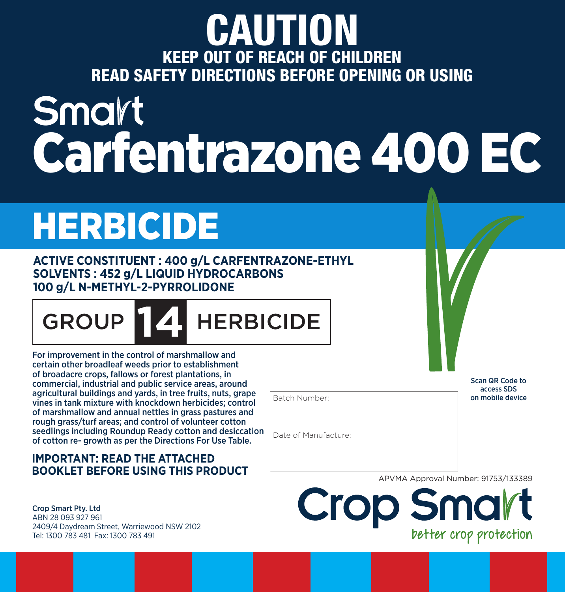## CAUTION KEEP OUT OF REACH OF CHILDREN READ SAFETY DIRECTIONS BEFORE OPENING OR USING

# Smart Carfentrazone 400 EC

# HERBICIDE

**ACTIVE CONSTITUENT : 400 g/L CARFENTRAZONE-ETHYL SOLVENTS : 452 g/L LIQUID HYDROCARBONS 100 g/L N-METHYL-2-PYRROLIDONE**

GROUP **174** HERBICIDE

For improvement in the control of marshmallow and certain other broadleaf weeds prior to establishment of broadacre crops, fallows or forest plantations, in commercial, industrial and public service areas, around agricultural buildings and yards, in tree fruits, nuts, grape vines in tank mixture with knockdown herbicides; control of marshmallow and annual nettles in grass pastures and rough grass/turf areas; and control of volunteer cotton seedlings including Roundup Ready cotton and desiccation of cotton re- growth as per the Directions For Use Table.

#### **IMPORTANT: READ THE ATTACHED BOOKLET BEFORE USING THIS PRODUCT**

Crop Smart Pty. Ltd ABN 28 093 927 961 2409/4 Daydream Street, Warriewood NSW 2102 Tel: 1300 783 481 Fax: 1300 783 491

Batch Number:

Date of Manufacture:

Scan QR Code to access SDS on mobile device

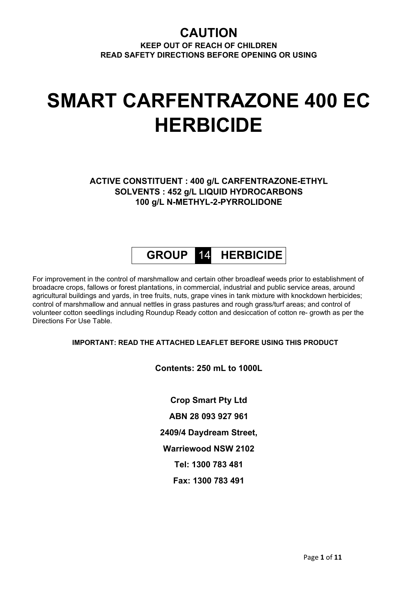### **CAUTION**

**KEEP OUT OF REACH OF CHILDREN READ SAFETY DIRECTIONS BEFORE OPENING OR USING**

# **SMART CARFENTRAZONE 400 EC HERBICIDE**

**ACTIVE CONSTITUENT : 400 g/L CARFENTRAZONE-ETHYL SOLVENTS : 452 g/L LIQUID HYDROCARBONS 100 g/L N-METHYL-2-PYRROLIDONE**

### **GROUP** 14 **HERBICIDE**

For improvement in the control of marshmallow and certain other broadleaf weeds prior to establishment of broadacre crops, fallows or forest plantations, in commercial, industrial and public service areas, around agricultural buildings and yards, in tree fruits, nuts, grape vines in tank mixture with knockdown herbicides; control of marshmallow and annual nettles in grass pastures and rough grass/turf areas; and control of volunteer cotton seedlings including Roundup Ready cotton and desiccation of cotton re- growth as per the Directions For Use Table.

#### **IMPORTANT: READ THE ATTACHED LEAFLET BEFORE USING THIS PRODUCT**

#### **Contents: 250 mL to 1000L**

**Crop Smart Pty Ltd ABN 28 093 927 961 2409/4 Daydream Street, Warriewood NSW 2102 Tel: 1300 783 481 Fax: 1300 783 491**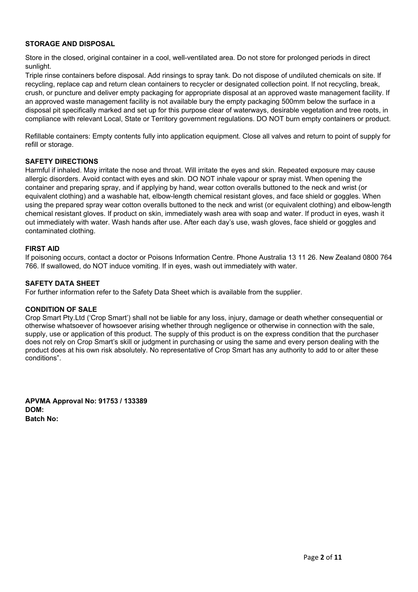#### **STORAGE AND DISPOSAL**

Store in the closed, original container in a cool, well-ventilated area. Do not store for prolonged periods in direct sunlight.

Triple rinse containers before disposal. Add rinsings to spray tank. Do not dispose of undiluted chemicals on site. If recycling, replace cap and return clean containers to recycler or designated collection point. If not recycling, break, crush, or puncture and deliver empty packaging for appropriate disposal at an approved waste management facility. If an approved waste management facility is not available bury the empty packaging 500mm below the surface in a disposal pit specifically marked and set up for this purpose clear of waterways, desirable vegetation and tree roots, in compliance with relevant Local, State or Territory government regulations. DO NOT burn empty containers or product.

Refillable containers: Empty contents fully into application equipment. Close all valves and return to point of supply for refill or storage.

#### **SAFETY DIRECTIONS**

Harmful if inhaled. May irritate the nose and throat. Will irritate the eyes and skin. Repeated exposure may cause allergic disorders. Avoid contact with eyes and skin. DO NOT inhale vapour or spray mist. When opening the container and preparing spray, and if applying by hand, wear cotton overalls buttoned to the neck and wrist (or equivalent clothing) and a washable hat, elbow-length chemical resistant gloves, and face shield or goggles. When using the prepared spray wear cotton overalls buttoned to the neck and wrist (or equivalent clothing) and elbow-length chemical resistant gloves. If product on skin, immediately wash area with soap and water. If product in eyes, wash it out immediately with water. Wash hands after use. After each day's use, wash gloves, face shield or goggles and contaminated clothing.

#### **FIRST AID**

If poisoning occurs, contact a doctor or Poisons Information Centre. Phone Australia 13 11 26. New Zealand 0800 764 766. If swallowed, do NOT induce vomiting. If in eyes, wash out immediately with water.

#### **SAFETY DATA SHEET**

For further information refer to the Safety Data Sheet which is available from the supplier.

#### **CONDITION OF SALE**

Crop Smart Pty.Ltd ('Crop Smart') shall not be liable for any loss, injury, damage or death whether consequential or otherwise whatsoever of howsoever arising whether through negligence or otherwise in connection with the sale, supply, use or application of this product. The supply of this product is on the express condition that the purchaser does not rely on Crop Smart's skill or judgment in purchasing or using the same and every person dealing with the product does at his own risk absolutely. No representative of Crop Smart has any authority to add to or alter these conditions".

**APVMA Approval No: 91753 / 133389 DOM: Batch No:**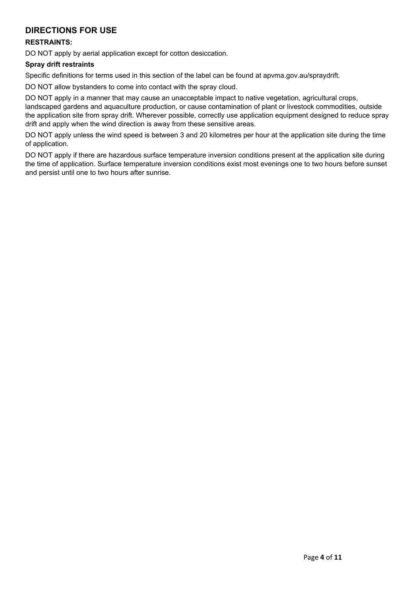#### **DIRECTIONS FOR USE**

#### **RESTRAINTS:**

DO NOT apply by aerial application except for cotton desiccation.

#### **Spray drift restraints**

Specific definitions for terms used in this section of the label can be found at apvma.gov.au/spraydrift.

DO NOT allow bystanders to come into contact with the spray cloud.

DO NOT apply in a manner that may cause an unacceptable impact to native vegetation, agricultural crops, landscaped gardens and aquaculture production, or cause contamination of plant or livestock commodities, outside the application site from spray drift. Wherever possible, correctly use application equipment designed to reduce spray drift and apply when the wind direction is away from these sensitive areas.

DO NOT apply unless the wind speed is between 3 and 20 kilometres per hour at the application site during the time of application.

DO NOT apply if there are hazardous surface temperature inversion conditions present at the application site during the time of application. Surface temperature inversion conditions exist most evenings one to two hours before sunset and persist until one to two hours after sunrise.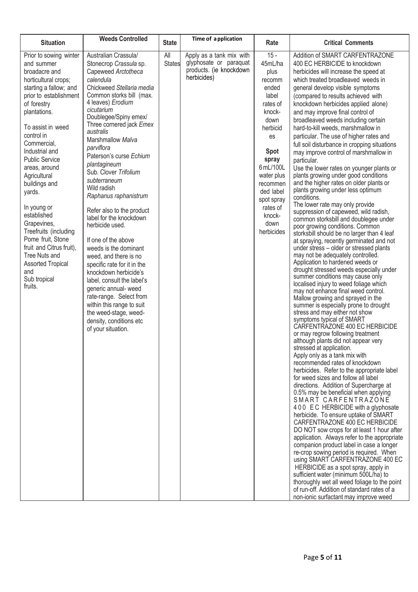| <b>Situation</b>                                                                                                                                                                                                                                                                                                                                                                                                                                                                                                                | <b>Weeds Controlled</b>                                                                                                                                                                                                                                                                                                                                                                                                                                                                                                                                                                                                                                                                                                                                                                                             | <b>State</b>         | Time of a pplication                                                                         | Rate                                                                                                                                                                                                                                 | <b>Critical Comments</b>                                                                                                                                                                                                                                                                                                                                                                                                                                                                                                                                                                                                                                                                                                                                                                                                                                                                                                                                                                                                                                                                                                                                                                                                                                                                                                                                                                                                                                                                                                                                                                                                                                                                                                                                                                                                                                                                                                                                                                                                                                                                                                                                                                                                                                                                                                                                                               |
|---------------------------------------------------------------------------------------------------------------------------------------------------------------------------------------------------------------------------------------------------------------------------------------------------------------------------------------------------------------------------------------------------------------------------------------------------------------------------------------------------------------------------------|---------------------------------------------------------------------------------------------------------------------------------------------------------------------------------------------------------------------------------------------------------------------------------------------------------------------------------------------------------------------------------------------------------------------------------------------------------------------------------------------------------------------------------------------------------------------------------------------------------------------------------------------------------------------------------------------------------------------------------------------------------------------------------------------------------------------|----------------------|----------------------------------------------------------------------------------------------|--------------------------------------------------------------------------------------------------------------------------------------------------------------------------------------------------------------------------------------|----------------------------------------------------------------------------------------------------------------------------------------------------------------------------------------------------------------------------------------------------------------------------------------------------------------------------------------------------------------------------------------------------------------------------------------------------------------------------------------------------------------------------------------------------------------------------------------------------------------------------------------------------------------------------------------------------------------------------------------------------------------------------------------------------------------------------------------------------------------------------------------------------------------------------------------------------------------------------------------------------------------------------------------------------------------------------------------------------------------------------------------------------------------------------------------------------------------------------------------------------------------------------------------------------------------------------------------------------------------------------------------------------------------------------------------------------------------------------------------------------------------------------------------------------------------------------------------------------------------------------------------------------------------------------------------------------------------------------------------------------------------------------------------------------------------------------------------------------------------------------------------------------------------------------------------------------------------------------------------------------------------------------------------------------------------------------------------------------------------------------------------------------------------------------------------------------------------------------------------------------------------------------------------------------------------------------------------------------------------------------------------|
| Prior to sowing winter<br>and summer<br>broadacre and<br>horticultural crops;<br>starting a fallow; and<br>prior to establishment<br>of forestry<br>plantations.<br>To assist in weed<br>control in<br>Commercial,<br>Industrial and<br><b>Public Service</b><br>areas, around<br>Agricultural<br>buildings and<br>yards.<br>In young or<br>established<br>Grapevines,<br>Treefruits (including<br>Pome fruit, Stone<br>fruit and Citrus fruit),<br>Tree Nuts and<br><b>Assorted Tropical</b><br>and<br>Sub tropical<br>fruits. | Australian Crassula/<br>Stonecrop Crassula sp.<br>Capeweed Arctotheca<br>calendula<br>Chickweed Stellaria media<br>Common storks bill (max.<br>4 leaves) Erodium<br>cicutarium<br>Doublegee/Spiny emex/<br>Three cornered jack Emex<br>australis<br>Marshmallow Malva<br>parviflora<br>Paterson's curse Echium<br>plantagineum<br>Sub. Clover Trifolium<br>subterraneum<br>Wild radish<br>Raphanus raphanistrum<br>Refer also to the product<br>label for the knockdown<br>herbicide used.<br>If one of the above<br>weeds is the dominant<br>weed, and there is no<br>specific rate for it in the<br>knockdown herbicide's<br>label, consult the label's<br>generic annual- weed<br>rate-range. Select from<br>within this range to suit<br>the weed-stage, weed-<br>density, conditions etc<br>of your situation. | All<br><b>States</b> | Apply as a tank mix with<br>glyphosate or paraquat<br>products. (ie knockdown<br>herbicides) | $15 -$<br>45mL/ha<br>plus<br>recomm<br>ended<br>label<br>rates of<br>knock-<br>down<br>herbicid<br>es<br>Spot<br>spray<br>6 mL/100L<br>water plus<br>recommen<br>ded label<br>spot spray<br>rates of<br>knock-<br>down<br>herbicides | Addition of SMART CARFENTRAZONE<br>400 EC HERBICIDE to knockdown<br>herbicides will increase the speed at<br>which treated broadleaved weeds in<br>general develop visible symptoms<br>(compared to results achieved with<br>knockdown herbicides applied alone)<br>and may improve final control of<br>broadleaved weeds including certain<br>hard-to-kill weeds, marshmallow in<br>particular. The use of higher rates and<br>full soil disturbance in cropping situations<br>may improve control of marshmallow in<br>particular.<br>Use the lower rates on younger plants or<br>plants growing under good conditions<br>and the higher rates on older plants or<br>plants growing under less optimum<br>conditions.<br>The lower rate may only provide<br>suppression of capeweed, wild radish,<br>common storksbill and doublegee under<br>poor growing conditions. Common<br>storksbill should be no larger than 4 leaf<br>at spraying, recently germinated and not<br>under stress - older or stressed plants<br>may not be adequately controlled.<br>Application to hardened weeds or<br>drought stressed weeds especially under<br>summer conditions may cause only<br>localised injury to weed foliage which<br>may not enhance final weed control.<br>Mallow growing and sprayed in the<br>summer is especially prone to drought<br>stress and may either not show<br>symptoms typical of SMART<br>CARFENTRAZONE 400 EC HERBICIDE<br>or may regrow following treatment<br>although plants did not appear very<br>stressed at application.<br>Apply only as a tank mix with<br>recommended rates of knockdown<br>herbicides. Refer to the appropriate label<br>for weed sizes and follow all label<br>directions. Addition of Supercharge at<br>0.5% may be beneficial when applying<br>SMART CARFENTRAZONE<br>400 EC HERBICIDE with a glyphosate<br>herbicide. To ensure uptake of SMART<br>CARFENTRAZONE 400 EC HERBICIDE<br>DO NOT sow crops for at least 1 hour after<br>application. Always refer to the appropriate<br>companion product label in case a longer<br>re-crop sowing period is required. When<br>using SMART CARFENTRAZONE 400 EC<br>HERBICIDE as a spot spray, apply in<br>sufficient water (minimum 500L/ha) to<br>thoroughly wet all weed foliage to the point<br>of run-off. Addition of standard rates of a<br>non-ionic surfactant may improve weed |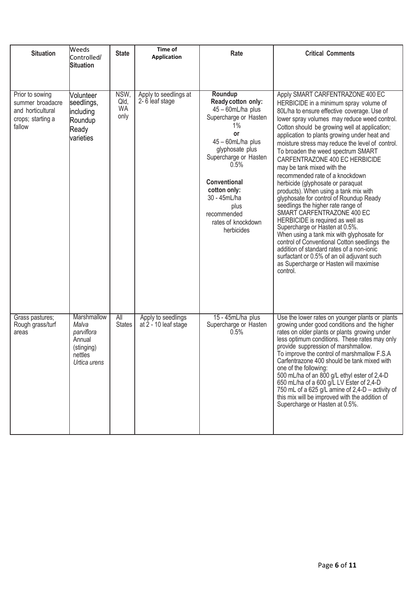| <b>Situation</b>                                                                        | Weeds<br>Controlled/<br><b>Situation</b>                                              | <b>State</b>                      | Time of<br><b>Application</b>              | Rate                                                                                                                                                                                                                                                                        | <b>Critical Comments</b>                                                                                                                                                                                                                                                                                                                                                                                                                                                                                                                                                                                                                                                                                                                                                                                                                                                                                                                                                                 |
|-----------------------------------------------------------------------------------------|---------------------------------------------------------------------------------------|-----------------------------------|--------------------------------------------|-----------------------------------------------------------------------------------------------------------------------------------------------------------------------------------------------------------------------------------------------------------------------------|------------------------------------------------------------------------------------------------------------------------------------------------------------------------------------------------------------------------------------------------------------------------------------------------------------------------------------------------------------------------------------------------------------------------------------------------------------------------------------------------------------------------------------------------------------------------------------------------------------------------------------------------------------------------------------------------------------------------------------------------------------------------------------------------------------------------------------------------------------------------------------------------------------------------------------------------------------------------------------------|
| Prior to sowing<br>summer broadacre<br>and horticultural<br>crops; starting a<br>fallow | <b>Volunteer</b><br>seedlings,<br>including<br>Roundup<br>Ready<br>varieties          | NSW,<br>Qld,<br><b>WA</b><br>only | Apply to seedlings at<br>2-6 leaf stage    | Roundup<br>Ready cotton only:<br>45 - 60mL/ha plus<br>Supercharge or Hasten<br>1%<br>or<br>45 - 60mL/ha plus<br>glyphosate plus<br>Supercharge or Hasten<br>0.5%<br>Conventional<br>cotton only:<br>30 - 45mL/ha<br>plus<br>recommended<br>rates of knockdown<br>herbicides | Apply SMART CARFENTRAZONE 400 EC<br>HERBICIDE in a minimum spray volume of<br>80L/ha to ensure effective coverage. Use of<br>lower spray volumes may reduce weed control.<br>Cotton should be growing well at application;<br>application to plants growing under heat and<br>moisture stress may reduce the level of control.<br>To broaden the weed spectrum SMART<br>CARFENTRAZONE 400 EC HERBICIDE<br>may be tank mixed with the<br>recommended rate of a knockdown<br>herbicide (glyphosate or paraquat<br>products). When using a tank mix with<br>glyphosate for control of Roundup Ready<br>seedlings the higher rate range of<br>SMART CARFENTRAZONE 400 EC<br>HERBICIDE is required as well as<br>Supercharge or Hasten at 0.5%.<br>When using a tank mix with glyphosate for<br>control of Conventional Cotton seedlings the<br>addition of standard rates of a non-ionic<br>surfactant or 0.5% of an oil adjuvant such<br>as Supercharge or Hasten will maximise<br>control. |
| Grass pastures;<br>Rough grass/turf<br>areas                                            | Marshmallow<br>Malva<br>parviflora<br>Annual<br>(stinging)<br>nettles<br>Urtica urens | All<br><b>States</b>              | Apply to seedlings<br>at 2 - 10 leaf stage | 15 - 45mL/ha plus<br>Supercharge or Hasten<br>0.5%                                                                                                                                                                                                                          | Use the lower rates on younger plants or plants<br>growing under good conditions and the higher<br>rates on older plants or plants growing under<br>less optimum conditions. These rates may only<br>provide suppression of marshmallow.<br>To improve the control of marshmallow F.S.A<br>Carfentrazone 400 should be tank mixed with<br>one of the following:<br>500 mL/ha of an 800 g/L ethyl ester of 2,4-D<br>650 mL/ha of a 600 g/L LV Ester of 2,4-D<br>750 mL of a 625 g/L amine of 2,4-D - activity of<br>this mix will be improved with the addition of<br>Supercharge or Hasten at 0.5%.                                                                                                                                                                                                                                                                                                                                                                                      |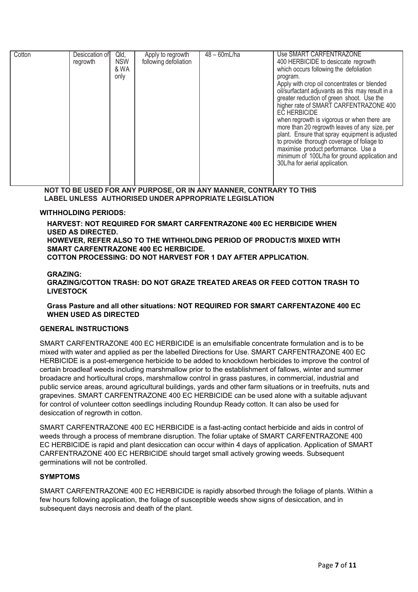| Cotton | Desiccation of | Qld,       | Apply to regrowth     | $48 - 60mL/ha$ | Use SMART CARFENTRAZONE                          |
|--------|----------------|------------|-----------------------|----------------|--------------------------------------------------|
|        | regrowth       | <b>NSW</b> | following defoliation |                | 400 HERBICIDE to desiccate regrowth              |
|        |                | & WA       |                       |                | which occurs following the defoliation           |
|        |                | only       |                       |                | program.                                         |
|        |                |            |                       |                | Apply with crop oil concentrates or blended      |
|        |                |            |                       |                | oil/surfactant adjuvants as this may result in a |
|        |                |            |                       |                | greater reduction of green shoot. Use the        |
|        |                |            |                       |                | higher rate of SMART CARFENTRAZONE 400           |
|        |                |            |                       |                | <b>EC HERBICIDE</b>                              |
|        |                |            |                       |                | when regrowth is vigorous or when there are      |
|        |                |            |                       |                | more than 20 regrowth leaves of any size, per    |
|        |                |            |                       |                | plant. Ensure that spray equipment is adjusted   |
|        |                |            |                       |                | to provide thorough coverage of foliage to       |
|        |                |            |                       |                | maximise product performance. Use a              |
|        |                |            |                       |                | minimum of 100L/ha for ground application and    |
|        |                |            |                       |                | 30L/ha for aerial application.                   |
|        |                |            |                       |                |                                                  |
|        |                |            |                       |                |                                                  |

**NOT TO BE USED FOR ANY PURPOSE, OR IN ANY MANNER, CONTRARY TO THIS LABEL UNLESS AUTHORISED UNDER APPROPRIATE LEGISLATION**

#### **WITHHOLDING PERIODS:**

**HARVEST: NOT REQUIRED FOR SMART CARFENTRAZONE 400 EC HERBICIDE WHEN USED AS DIRECTED. HOWEVER, REFER ALSO TO THE WITHHOLDING PERIOD OF PRODUCT/S MIXED WITH SMART CARFENTRAZONE 400 EC HERBICIDE. COTTON PROCESSING: DO NOT HARVEST FOR 1 DAY AFTER APPLICATION.** 

#### **GRAZING:**

**GRAZING/COTTON TRASH: DO NOT GRAZE TREATED AREAS OR FEED COTTON TRASH TO LIVESTOCK**

#### **Grass Pasture and all other situations: NOT REQUIRED FOR SMART CARFENTAZONE 400 EC WHEN USED AS DIRECTED**

#### **GENERAL INSTRUCTIONS**

SMART CARFENTRAZONE 400 EC HERBICIDE is an emulsifiable concentrate formulation and is to be mixed with water and applied as per the labelled Directions for Use. SMART CARFENTRAZONE 400 EC HERBICIDE is a post-emergence herbicide to be added to knockdown herbicides to improve the control of certain broadleaf weeds including marshmallow prior to the establishment of fallows, winter and summer broadacre and horticultural crops, marshmallow control in grass pastures, in commercial, industrial and public service areas, around agricultural buildings, yards and other farm situations or in treefruits, nuts and grapevines. SMART CARFENTRAZONE 400 EC HERBICIDE can be used alone with a suitable adjuvant for control of volunteer cotton seedlings including Roundup Ready cotton. It can also be used for desiccation of regrowth in cotton.

SMART CARFENTRAZONE 400 EC HERBICIDE is a fast-acting contact herbicide and aids in control of weeds through a process of membrane disruption. The foliar uptake of SMART CARFENTRAZONE 400 EC HERBICIDE is rapid and plant desiccation can occur within 4 days of application. Application of SMART CARFENTRAZONE 400 EC HERBICIDE should target small actively growing weeds. Subsequent germinations will not be controlled.

#### **SYMPTOMS**

SMART CARFENTRAZONE 400 EC HERBICIDE is rapidly absorbed through the foliage of plants. Within a few hours following application, the foliage of susceptible weeds show signs of desiccation, and in subsequent days necrosis and death of the plant.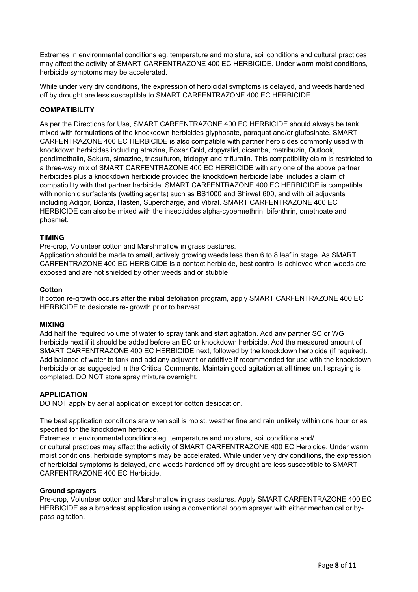Extremes in environmental conditions eg. temperature and moisture, soil conditions and cultural practices may affect the activity of SMART CARFENTRAZONE 400 EC HERBICIDE. Under warm moist conditions, herbicide symptoms may be accelerated.

While under very dry conditions, the expression of herbicidal symptoms is delayed, and weeds hardened off by drought are less susceptible to SMART CARFENTRAZONE 400 EC HERBICIDE.

#### **COMPATIBILITY**

As per the Directions for Use, SMART CARFENTRAZONE 400 EC HERBICIDE should always be tank mixed with formulations of the knockdown herbicides glyphosate, paraquat and/or glufosinate. SMART CARFENTRAZONE 400 EC HERBICIDE is also compatible with partner herbicides commonly used with knockdown herbicides including atrazine, Boxer Gold, clopyralid, dicamba, metribuzin, Outlook, pendimethalin, Sakura, simazine, triasulfuron, triclopyr and trifluralin. This compatibility claim is restricted to a three-way mix of SMART CARFENTRAZONE 400 EC HERBICIDE with any one of the above partner herbicides plus a knockdown herbicide provided the knockdown herbicide label includes a claim of compatibility with that partner herbicide. SMART CARFENTRAZONE 400 EC HERBICIDE is compatible with nonionic surfactants (wetting agents) such as BS1000 and Shirwet 600, and with oil adjuvants including Adigor, Bonza, Hasten, Supercharge, and Vibral. SMART CARFENTRAZONE 400 EC HERBICIDE can also be mixed with the insecticides alpha-cypermethrin, bifenthrin, omethoate and phosmet.

#### **TIMING**

Pre-crop, Volunteer cotton and Marshmallow in grass pastures.

Application should be made to small, actively growing weeds less than 6 to 8 leaf in stage. As SMART CARFENTRAZONE 400 EC HERBICIDE is a contact herbicide, best control is achieved when weeds are exposed and are not shielded by other weeds and or stubble.

#### **Cotton**

If cotton re-growth occurs after the initial defoliation program, apply SMART CARFENTRAZONE 400 EC HERBICIDE to desiccate re- growth prior to harvest.

#### **MIXING**

Add half the required volume of water to spray tank and start agitation. Add any partner SC or WG herbicide next if it should be added before an EC or knockdown herbicide. Add the measured amount of SMART CARFENTRAZONE 400 EC HERBICIDE next, followed by the knockdown herbicide (if required). Add balance of water to tank and add any adjuvant or additive if recommended for use with the knockdown herbicide or as suggested in the Critical Comments. Maintain good agitation at all times until spraying is completed. DO NOT store spray mixture overnight.

#### **APPLICATION**

DO NOT apply by aerial application except for cotton desiccation.

The best application conditions are when soil is moist, weather fine and rain unlikely within one hour or as specified for the knockdown herbicide.

Extremes in environmental conditions eg. temperature and moisture, soil conditions and/ or cultural practices may affect the activity of SMART CARFENTRAZONE 400 EC Herbicide. Under warm moist conditions, herbicide symptoms may be accelerated. While under very dry conditions, the expression of herbicidal symptoms is delayed, and weeds hardened off by drought are less susceptible to SMART CARFENTRAZONE 400 EC Herbicide.

#### **Ground sprayers**

Pre-crop, Volunteer cotton and Marshmallow in grass pastures. Apply SMART CARFENTRAZONE 400 EC HERBICIDE as a broadcast application using a conventional boom sprayer with either mechanical or bypass agitation.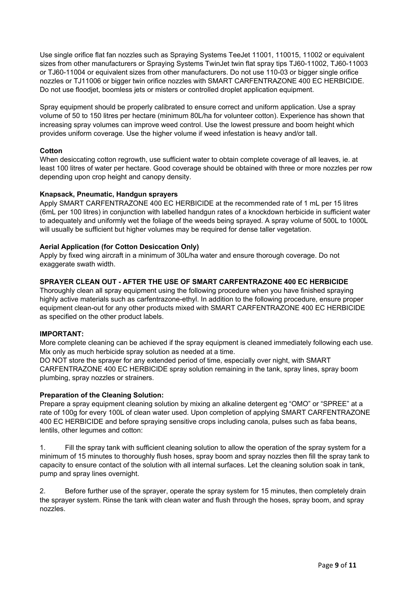Use single orifice flat fan nozzles such as Spraying Systems TeeJet 11001, 110015, 11002 or equivalent sizes from other manufacturers or Spraying Systems TwinJet twin flat spray tips TJ60-11002, TJ60-11003 or TJ60-11004 or equivalent sizes from other manufacturers. Do not use 110-03 or bigger single orifice nozzles or TJ11006 or bigger twin orifice nozzles with SMART CARFENTRAZONE 400 EC HERBICIDE. Do not use floodjet, boomless jets or misters or controlled droplet application equipment.

Spray equipment should be properly calibrated to ensure correct and uniform application. Use a spray volume of 50 to 150 litres per hectare (minimum 80L/ha for volunteer cotton). Experience has shown that increasing spray volumes can improve weed control. Use the lowest pressure and boom height which provides uniform coverage. Use the higher volume if weed infestation is heavy and/or tall.

#### **Cotton**

When desiccating cotton regrowth, use sufficient water to obtain complete coverage of all leaves, ie. at least 100 litres of water per hectare. Good coverage should be obtained with three or more nozzles per row depending upon crop height and canopy density.

#### **Knapsack, Pneumatic, Handgun sprayers**

Apply SMART CARFENTRAZONE 400 EC HERBICIDE at the recommended rate of 1 mL per 15 litres (6mL per 100 litres) in conjunction with labelled handgun rates of a knockdown herbicide in sufficient water to adequately and uniformly wet the foliage of the weeds being sprayed. A spray volume of 500L to 1000L will usually be sufficient but higher volumes may be required for dense taller vegetation.

#### **Aerial Application (for Cotton Desiccation Only)**

Apply by fixed wing aircraft in a minimum of 30L/ha water and ensure thorough coverage. Do not exaggerate swath width.

#### **SPRAYER CLEAN OUT - AFTER THE USE OF SMART CARFENTRAZONE 400 EC HERBICIDE**

Thoroughly clean all spray equipment using the following procedure when you have finished spraying highly active materials such as carfentrazone-ethyl. In addition to the following procedure, ensure proper equipment clean-out for any other products mixed with SMART CARFENTRAZONE 400 EC HERBICIDE as specified on the other product labels.

#### **IMPORTANT:**

More complete cleaning can be achieved if the spray equipment is cleaned immediately following each use. Mix only as much herbicide spray solution as needed at a time.

DO NOT store the sprayer for any extended period of time, especially over night, with SMART CARFENTRAZONE 400 EC HERBICIDE spray solution remaining in the tank, spray lines, spray boom plumbing, spray nozzles or strainers.

#### **Preparation of the Cleaning Solution:**

Prepare a spray equipment cleaning solution by mixing an alkaline detergent eg "OMO" or "SPREE" at a rate of 100g for every 100L of clean water used. Upon completion of applying SMART CARFENTRAZONE 400 EC HERBICIDE and before spraying sensitive crops including canola, pulses such as faba beans, lentils, other legumes and cotton:

1. Fill the spray tank with sufficient cleaning solution to allow the operation of the spray system for a minimum of 15 minutes to thoroughly flush hoses, spray boom and spray nozzles then fill the spray tank to capacity to ensure contact of the solution with all internal surfaces. Let the cleaning solution soak in tank, pump and spray lines overnight.

2. Before further use of the sprayer, operate the spray system for 15 minutes, then completely drain the sprayer system. Rinse the tank with clean water and flush through the hoses, spray boom, and spray nozzles.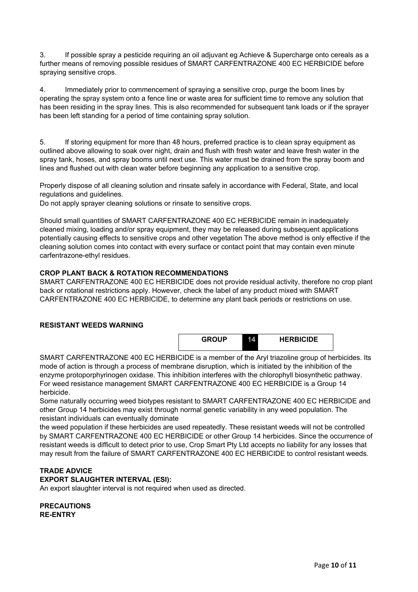3. If possible spray a pesticide requiring an oil adjuvant eg Achieve & Supercharge onto cereals as a further means of removing possible residues of SMART CARFENTRAZONE 400 EC HERBICIDE before spraying sensitive crops.

4. Immediately prior to commencement of spraying a sensitive crop, purge the boom lines by operating the spray system onto a fence line or waste area for sufficient time to remove any solution that has been residing in the spray lines. This is also recommended for subsequent tank loads or if the sprayer has been left standing for a period of time containing spray solution.

5. If storing equipment for more than 48 hours, preferred practice is to clean spray equipment as outlined above allowing to soak over night, drain and flush with fresh water and leave fresh water in the spray tank, hoses, and spray booms until next use. This water must be drained from the spray boom and lines and flushed out with clean water before beginning any application to a sensitive crop.

Properly dispose of all cleaning solution and rinsate safely in accordance with Federal, State, and local regulations and guidelines.

Do not apply sprayer cleaning solutions or rinsate to sensitive crops.

Should small quantities of SMART CARFENTRAZONE 400 EC HERBICIDE remain in inadequately cleaned mixing, loading and/or spray equipment, they may be released during subsequent applications potentially causing effects to sensitive crops and other vegetation The above method is only effective if the cleaning solution comes into contact with every surface or contact point that may contain even minute carfentrazone-ethyl residues.

#### **CROP PLANT BACK & ROTATION RECOMMENDATIONS**

SMART CARFENTRAZONE 400 EC HERBICIDE does not provide residual activity, therefore no crop plant back or rotational restrictions apply. However, check the label of any product mixed with SMART CARFENTRAZONE 400 EC HERBICIDE, to determine any plant back periods or restrictions on use.

#### **RESISTANT WEEDS WARNING**

| <b>GROUP</b> | 14 | <b>HERBICIDE</b> |  |
|--------------|----|------------------|--|
|              |    |                  |  |

SMART CARFENTRAZONE 400 EC HERBICIDE is a member of the Aryl triazoline group of herbicides. Its mode of action is through a process of membrane disruption, which is initiated by the inhibition of the enzyme protoporphyrinogen oxidase. This inhibition interferes with the chlorophyll biosynthetic pathway. For weed resistance management SMART CARFENTRAZONE 400 EC HERBICIDE is a Group 14 herbicide.

Some naturally occurring weed biotypes resistant to SMART CARFENTRAZONE 400 EC HERBICIDE and other Group 14 herbicides may exist through normal genetic variability in any weed population. The resistant individuals can eventually dominate

the weed population if these herbicides are used repeatedly. These resistant weeds will not be controlled by SMART CARFENTRAZONE 400 EC HERBICIDE or other Group 14 herbicides. Since the occurrence of resistant weeds is difficult to detect prior to use, Crop Smart Pty Ltd accepts no liability for any losses that may result from the failure of SMART CARFENTRAZONE 400 EC HERBICIDE to control resistant weeds.

#### **TRADE ADVICE**

**EXPORT SLAUGHTER INTERVAL (ESI):** 

An export slaughter interval is not required when used as directed.

**PRECAUTIONS RE-ENTRY**